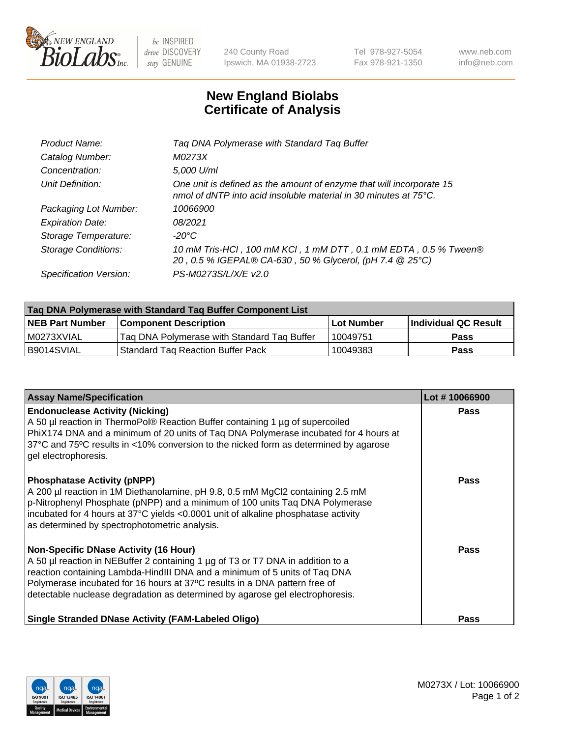

be INSPIRED drive DISCOVERY stay GENUINE

240 County Road Ipswich, MA 01938-2723 Tel 978-927-5054 Fax 978-921-1350 www.neb.com info@neb.com

## **New England Biolabs Certificate of Analysis**

| Tag DNA Polymerase with Standard Tag Buffer                                                                                              |
|------------------------------------------------------------------------------------------------------------------------------------------|
| M0273X                                                                                                                                   |
| 5,000 U/ml                                                                                                                               |
| One unit is defined as the amount of enzyme that will incorporate 15<br>nmol of dNTP into acid insoluble material in 30 minutes at 75°C. |
| 10066900                                                                                                                                 |
| 08/2021                                                                                                                                  |
| $-20^{\circ}$ C                                                                                                                          |
| 10 mM Tris-HCl, 100 mM KCl, 1 mM DTT, 0.1 mM EDTA, 0.5 % Tween®<br>20, 0.5 % IGEPAL® CA-630, 50 % Glycerol, (pH 7.4 @ 25°C)              |
| PS-M0273S/L/X/E v2.0                                                                                                                     |
|                                                                                                                                          |

| Tag DNA Polymerase with Standard Tag Buffer Component List |                                             |                   |                      |  |
|------------------------------------------------------------|---------------------------------------------|-------------------|----------------------|--|
| <b>NEB Part Number</b>                                     | <b>Component Description</b>                | <b>Lot Number</b> | Individual QC Result |  |
| M0273XVIAL                                                 | Tag DNA Polymerase with Standard Tag Buffer | 10049751          | <b>Pass</b>          |  |
| B9014SVIAL                                                 | <b>Standard Tag Reaction Buffer Pack</b>    | 10049383          | <b>Pass</b>          |  |

| <b>Assay Name/Specification</b>                                                                                                                                                                                                                                                                                                                                              | Lot #10066900 |
|------------------------------------------------------------------------------------------------------------------------------------------------------------------------------------------------------------------------------------------------------------------------------------------------------------------------------------------------------------------------------|---------------|
| <b>Endonuclease Activity (Nicking)</b><br>A 50 µl reaction in ThermoPol® Reaction Buffer containing 1 µg of supercoiled<br>PhiX174 DNA and a minimum of 20 units of Taq DNA Polymerase incubated for 4 hours at<br>37°C and 75°C results in <10% conversion to the nicked form as determined by agarose<br>gel electrophoresis.                                              | Pass          |
| <b>Phosphatase Activity (pNPP)</b><br>A 200 µl reaction in 1M Diethanolamine, pH 9.8, 0.5 mM MgCl2 containing 2.5 mM<br>p-Nitrophenyl Phosphate (pNPP) and a minimum of 100 units Taq DNA Polymerase<br>incubated for 4 hours at 37°C yields <0.0001 unit of alkaline phosphatase activity<br>as determined by spectrophotometric analysis.                                  | Pass          |
| <b>Non-Specific DNase Activity (16 Hour)</b><br>A 50 µl reaction in NEBuffer 2 containing 1 µg of T3 or T7 DNA in addition to a<br>reaction containing Lambda-HindIII DNA and a minimum of 5 units of Taq DNA<br>Polymerase incubated for 16 hours at 37°C results in a DNA pattern free of<br>detectable nuclease degradation as determined by agarose gel electrophoresis. | Pass          |
| <b>Single Stranded DNase Activity (FAM-Labeled Oligo)</b>                                                                                                                                                                                                                                                                                                                    | <b>Pass</b>   |